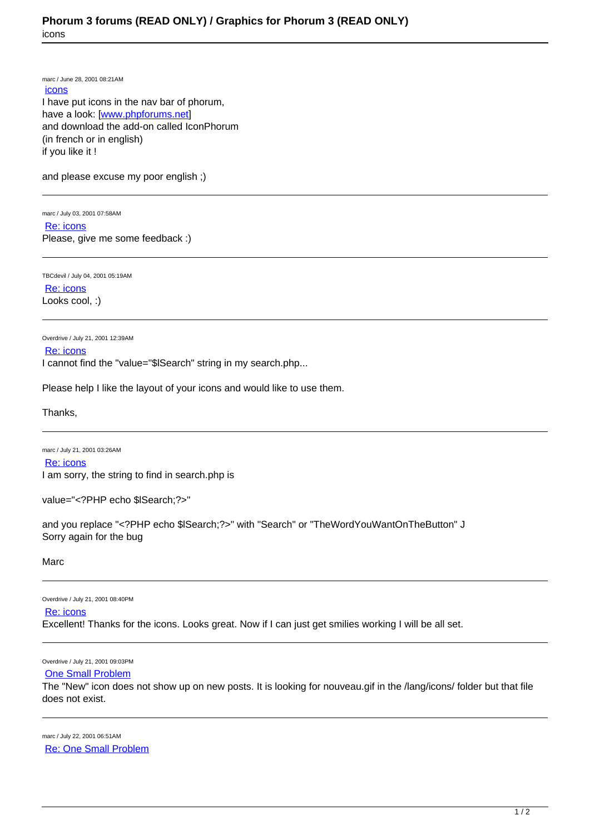marc / June 28, 2001 08:21AM [icons](https://www.phorum.org/phorum5/read.php?6,45947,45947#msg-45947) I have put icons in the nav bar of phorum, have a look: [[www.phpforums.net](http://www.phpforums.net)] and download the add-on called IconPhorum (in french or in english) if you like it !

and please excuse my poor english ;)

marc / July 03, 2001 07:58AM [Re: icons](https://www.phorum.org/phorum5/read.php?6,45947,45948#msg-45948) Please, give me some feedback :)

TBCdevil / July 04, 2001 05:19AM [Re: icons](https://www.phorum.org/phorum5/read.php?6,45947,45949#msg-45949) Looks cool, :)

Overdrive / July 21, 2001 12:39AM [Re: icons](https://www.phorum.org/phorum5/read.php?6,45947,45950#msg-45950) I cannot find the "value="\$ISearch" string in my search.php...

Please help I like the layout of your icons and would like to use them.

Thanks,

marc / July 21, 2001 03:26AM [Re: icons](https://www.phorum.org/phorum5/read.php?6,45947,45953#msg-45953) I am sorry, the string to find in search.php is

value="<?PHP echo \$lSearch;?>"

and you replace "<?PHP echo \$ISearch;?>" with "Search" or "TheWordYouWantOnTheButton" J Sorry again for the bug

Marc

Overdrive / July 21, 2001 08:40PM

[Re: icons](https://www.phorum.org/phorum5/read.php?6,45947,45954#msg-45954)

Excellent! Thanks for the icons. Looks great. Now if I can just get smilies working I will be all set.

Overdrive / July 21, 2001 09:03PM

## [One Small Problem](https://www.phorum.org/phorum5/read.php?6,45947,45956#msg-45956)

The "New" icon does not show up on new posts. It is looking for nouveau.gif in the /lang/icons/ folder but that file does not exist.

marc / July 22, 2001 06:51AM [Re: One Small Problem](https://www.phorum.org/phorum5/read.php?6,45947,45957#msg-45957)